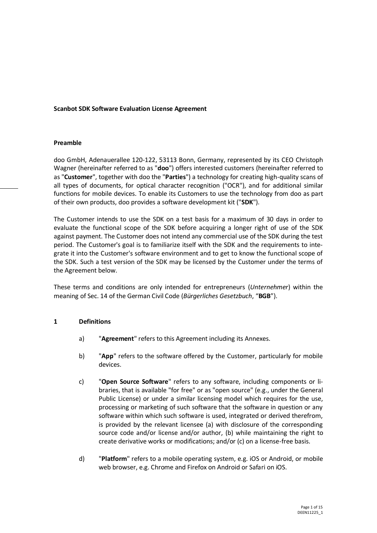#### **Scanbot SDK Software Evaluation License Agreement**

#### **Preamble**

doo GmbH, Adenauerallee 120-122, 53113 Bonn, Germany, represented by its CEO Christoph Wagner (hereinafter referred to as "**doo**") offers interested customers (hereinafter referred to as "**Customer**", together with doo the "**Parties**") a technology for creating high-quality scans of all types of documents, for optical character recognition ("OCR"), and for additional similar functions for mobile devices. To enable its Customers to use the technology from doo as part of their own products, doo provides a software development kit ("**SDK**").

The Customer intends to use the SDK on a test basis for a maximum of 30 days in order to evaluate the functional scope of the SDK before acquiring a longer right of use of the SDK against payment. The Customer does not intend any commercial use of the SDK during the test period. The Customer's goal is to familiarize itself with the SDK and the requirements to integrate it into the Customer's software environment and to get to know the functional scope of the SDK. Such a test version of the SDK may be licensed by the Customer under the terms of the Agreement below.

These terms and conditions are only intended for entrepreneurs (*Unternehmer*) within the meaning of Sec. 14 of the German Civil Code (*Bürgerliches Gesetzbuch*, "**BGB**").

#### **1 Definitions**

- a) "**Agreement**" refers to this Agreement including its Annexes.
- b) "**App**" refers to the software offered by the Customer, particularly for mobile devices.
- c) "**Open Source Software**" refers to any software, including components or libraries, that is available "for free" or as "open source" (e.g., under the General Public License) or under a similar licensing model which requires for the use, processing or marketing of such software that the software in question or any software within which such software is used, integrated or derived therefrom, is provided by the relevant licensee (a) with disclosure of the corresponding source code and/or license and/or author, (b) while maintaining the right to create derivative works or modifications; and/or (c) on a license-free basis.
- d) "**Platform**" refers to a mobile operating system, e.g. iOS or Android, or mobile web browser, e.g. Chrome and Firefox on Android or Safari on iOS.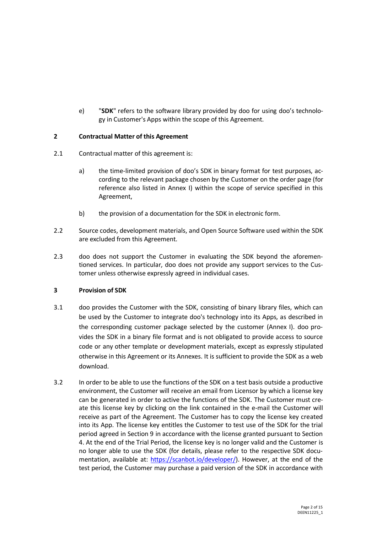e) "**SDK**" refers to the software library provided by doo for using doo's technology in Customer's Apps within the scope of this Agreement.

### <span id="page-1-0"></span>**2 Contractual Matter of this Agreement**

- 2.1 Contractual matter of this agreement is:
	- a) the time-limited provision of doo's SDK in binary format for test purposes, according to the relevant package chosen by the Customer on the order page (for reference also listed in Annex I) within the scope of service specified in this Agreement,
	- b) the provision of a documentation for the SDK in electronic form.
- 2.2 Source codes, development materials, and Open Source Software used within the SDK are excluded from this Agreement.
- 2.3 doo does not support the Customer in evaluating the SDK beyond the aforementioned services. In particular, doo does not provide any support services to the Customer unless otherwise expressly agreed in individual cases.

# **3 Provision of SDK**

- 3.1 doo provides the Customer with the SDK, consisting of binary library files, which can be used by the Customer to integrate doo's technology into its Apps, as described in the corresponding customer package selected by the customer (Annex I). doo provides the SDK in a binary file format and is not obligated to provide access to source code or any other template or development materials, except as expressly stipulated otherwise in this Agreement or its Annexes. It is sufficient to provide the SDK as a web download.
- 3.2 In order to be able to use the functions of the SDK on a test basis outside a productive environment, the Customer will receive an email from Licensor by which a license key can be generated in order to active the functions of the SDK. The Customer must create this license key by clicking on the link contained in the e-mail the Customer will receive as part of the Agreement. The Customer has to copy the license key created into its App. The license key entitles the Customer to test use of the SDK for the trial period agreed in Section [9](#page-5-0) in accordance with the license granted pursuant to Section [4.](#page-2-0) At the end of the Trial Period, the license key is no longer valid and the Customer is no longer able to use the SDK (for details, please refer to the respective SDK documentation, available at: [https://scanbot.io/developer/\)](https://scanbot.io/developer/). However, at the end of the test period, the Customer may purchase a paid version of the SDK in accordance with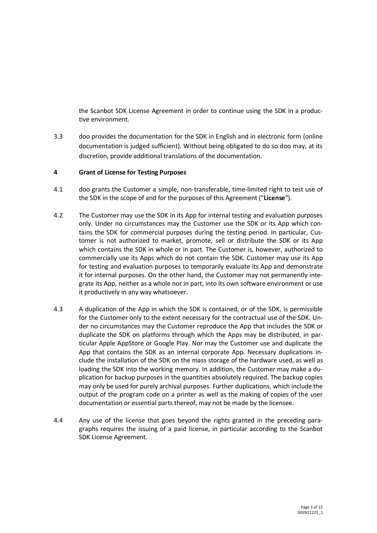the Scanbot SDK License Agreement in order to continue using the SDK in a productive environment.

3.3 doo provides the documentation for the SDK in English and in electronic form (online documentation is judged sufficient). Without being obligated to do so doo may, at its discretion, provide additional translations of the documentation.

#### <span id="page-2-0"></span>**4 Grant of License for Testing Purposes**

- 4.1 doo grants the Customer a simple, non-transferable, time-limited right to test use of the SDK in the scope of and for the purposes of this Agreement ("**License**").
- 4.2 The Customer may use the SDK in its App for internal testing and evaluation purposes only. Under no circumstances may the Customer use the SDK or its App which contains the SDK for commercial purposes during the testing period. In particular, Customer is not authorized to market, promote, sell or distribute the SDK or its App which contains the SDK in whole or in part. The Customer is, however, authorized to commercially use its Apps which do not contain the SDK. Customer may use its App for testing and evaluation purposes to temporarily evaluate its App and demonstrate it for internal purposes. On the other hand, the Customer may not permanently integrate its App, neither as a whole nor in part, into its own software environment or use it productively in any way whatsoever.
- 4.3 A duplication of the App in which the SDK is contained, or of the SDK, is permissible for the Customer only to the extent necessary for the contractual use of the SDK. Under no circumstances may the Customer reproduce the App that includes the SDK or duplicate the SDK on platforms through which the Apps may be distributed, in particular Apple AppStore or Google Play. Nor may the Customer use and duplicate the App that contains the SDK as an internal corporate App. Necessary duplications include the installation of the SDK on the mass storage of the hardware used, as well as loading the SDK into the working memory. In addition, the Customer may make a duplication for backup purposes in the quantities absolutely required. The backup copies may only be used for purely archival purposes. Further duplications, which include the output of the program code on a printer as well as the making of copies of the user documentation or essential parts thereof, may not be made by the licensee.
- 4.4 Any use of the license that goes beyond the rights granted in the preceding paragraphs requires the issuing of a paid license, in particular according to the Scanbot SDK License Agreement.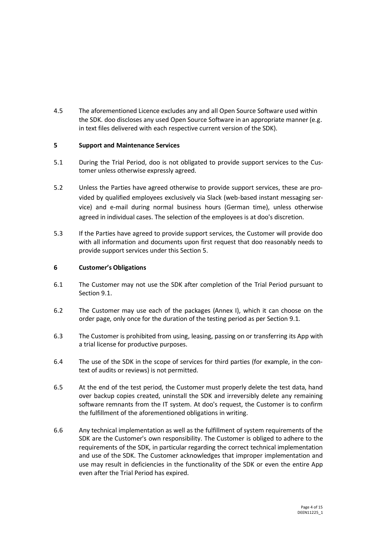4.5 The aforementioned Licence excludes any and all Open Source Software used within the SDK. doo discloses any used Open Source Software in an appropriate manner (e.g. in text files delivered with each respective current version of the SDK).

## <span id="page-3-0"></span>**5 Support and Maintenance Services**

- 5.1 During the Trial Period, doo is not obligated to provide support services to the Customer unless otherwise expressly agreed.
- 5.2 Unless the Parties have agreed otherwise to provide support services, these are provided by qualified employees exclusively via Slack (web-based instant messaging service) and e-mail during normal business hours (German time), unless otherwise agreed in individual cases. The selection of the employees is at doo's discretion.
- 5.3 If the Parties have agreed to provide support services, the Customer will provide doo with all information and documents upon first request that doo reasonably needs to provide support services under this Section [5.](#page-3-0)

#### **6 Customer's Obligations**

- 6.1 The Customer may not use the SDK after completion of the Trial Period pursuant to Section [9.1.](#page-5-1)
- 6.2 The Customer may use each of the packages (Annex I), which it can choose on the order page, only once for the duration of the testing period as per Section [9.1.](#page-5-1)
- 6.3 The Customer is prohibited from using, leasing, passing on or transferring its App with a trial license for productive purposes.
- 6.4 The use of the SDK in the scope of services for third parties (for example, in the context of audits or reviews) is not permitted.
- 6.5 At the end of the test period, the Customer must properly delete the test data, hand over backup copies created, uninstall the SDK and irreversibly delete any remaining software remnants from the IT system. At doo's request, the Customer is to confirm the fulfillment of the aforementioned obligations in writing.
- 6.6 Any technical implementation as well as the fulfillment of system requirements of the SDK are the Customer's own responsibility. The Customer is obliged to adhere to the requirements of the SDK, in particular regarding the correct technical implementation and use of the SDK. The Customer acknowledges that improper implementation and use may result in deficiencies in the functionality of the SDK or even the entire App even after the Trial Period has expired.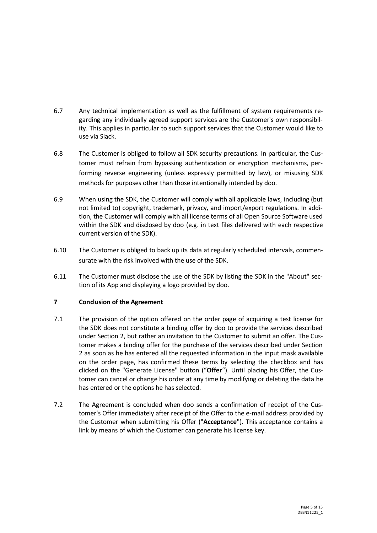- 6.7 Any technical implementation as well as the fulfillment of system requirements regarding any individually agreed support services are the Customer's own responsibility. This applies in particular to such support services that the Customer would like to use via Slack.
- 6.8 The Customer is obliged to follow all SDK security precautions. In particular, the Customer must refrain from bypassing authentication or encryption mechanisms, performing reverse engineering (unless expressly permitted by law), or misusing SDK methods for purposes other than those intentionally intended by doo.
- 6.9 When using the SDK, the Customer will comply with all applicable laws, including (but not limited to) copyright, trademark, privacy, and import/export regulations. In addition, the Customer will comply with all license terms of all Open Source Software used within the SDK and disclosed by doo (e.g. in text files delivered with each respective current version of the SDK).
- 6.10 The Customer is obliged to back up its data at regularly scheduled intervals, commensurate with the risk involved with the use of the SDK.
- 6.11 The Customer must disclose the use of the SDK by listing the SDK in the "About" section of its App and displaying a logo provided by doo.

# **7 Conclusion of the Agreement**

- 7.1 The provision of the option offered on the order page of acquiring a test license for the SDK does not constitute a binding offer by doo to provide the services described under Section [2,](#page-1-0) but rather an invitation to the Customer to submit an offer. The Customer makes a binding offer for the purchase of the services described under Section [2](#page-1-0) as soon as he has entered all the requested information in the input mask available on the order page, has confirmed these terms by selecting the checkbox and has clicked on the "Generate License" button ("**Offer**"). Until placing his Offer, the Customer can cancel or change his order at any time by modifying or deleting the data he has entered or the options he has selected.
- 7.2 The Agreement is concluded when doo sends a confirmation of receipt of the Customer's Offer immediately after receipt of the Offer to the e-mail address provided by the Customer when submitting his Offer ("**Acceptance**"). This acceptance contains a link by means of which the Customer can generate his license key.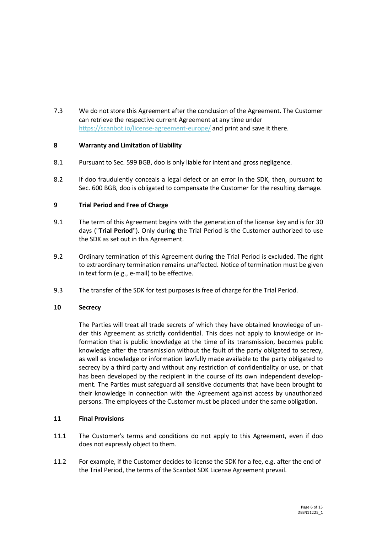7.3 We do not store this Agreement after the conclusion of the Agreement. The Customer can retrieve the respective current Agreement at any time under <https://scanbot.io/license-agreement-europe/> and print and save it there.

## **8 Warranty and Limitation of Liability**

- 8.1 Pursuant to Sec. 599 BGB, doo is only liable for intent and gross negligence.
- 8.2 If doo fraudulently conceals a legal defect or an error in the SDK, then, pursuant to Sec. 600 BGB, doo is obligated to compensate the Customer for the resulting damage.

## <span id="page-5-0"></span>**9 Trial Period and Free of Charge**

- <span id="page-5-1"></span>9.1 The term of this Agreement begins with the generation of the license key and is for 30 days ("**Trial Period**"). Only during the Trial Period is the Customer authorized to use the SDK as set out in this Agreement.
- 9.2 Ordinary termination of this Agreement during the Trial Period is excluded. The right to extraordinary termination remains unaffected. Notice of termination must be given in text form (e.g., e-mail) to be effective.
- 9.3 The transfer of the SDK for test purposes is free of charge for the Trial Period.

## **10 Secrecy**

The Parties will treat all trade secrets of which they have obtained knowledge of under this Agreement as strictly confidential. This does not apply to knowledge or information that is public knowledge at the time of its transmission, becomes public knowledge after the transmission without the fault of the party obligated to secrecy, as well as knowledge or information lawfully made available to the party obligated to secrecy by a third party and without any restriction of confidentiality or use, or that has been developed by the recipient in the course of its own independent development. The Parties must safeguard all sensitive documents that have been brought to their knowledge in connection with the Agreement against access by unauthorized persons. The employees of the Customer must be placed under the same obligation.

## **11 Final Provisions**

- 11.1 The Customer's terms and conditions do not apply to this Agreement, even if doo does not expressly object to them.
- 11.2 For example, if the Customer decides to license the SDK for a fee, e.g. after the end of the Trial Period, the terms of the Scanbot SDK License Agreement prevail.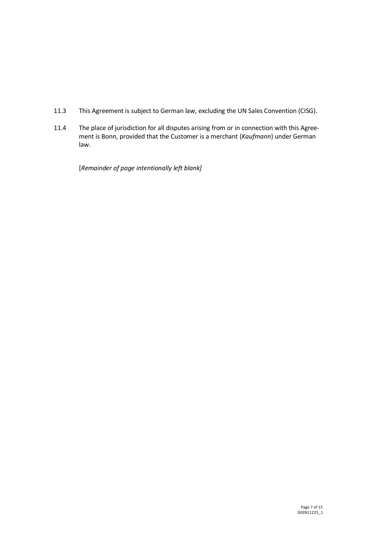- 11.3 This Agreement is subject to German law, excluding the UN Sales Convention (CISG).
- 11.4 The place of jurisdiction for all disputes arising from or in connection with this Agreement is Bonn, provided that the Customer is a merchant (*Kaufmann*) under German law.

[*Remainder of page intentionally left blank]*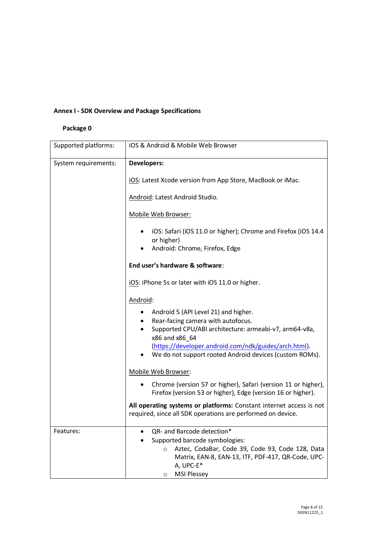# **Annex I - SDK Overview and Package Specifications**

## **Package 0**

| Supported platforms: | iOS & Android & Mobile Web Browser                                                                                                                                                                                              |
|----------------------|---------------------------------------------------------------------------------------------------------------------------------------------------------------------------------------------------------------------------------|
| System requirements: | <b>Developers:</b>                                                                                                                                                                                                              |
|                      | iOS: Latest Xcode version from App Store, MacBook or iMac.                                                                                                                                                                      |
|                      | Android: Latest Android Studio.                                                                                                                                                                                                 |
|                      | Mobile Web Browser:                                                                                                                                                                                                             |
|                      | iOS: Safari (iOS 11.0 or higher); Chrome and Firefox (iOS 14.4<br>or higher)<br>Android: Chrome, Firefox, Edge<br>٠                                                                                                             |
|                      | End user's hardware & software:                                                                                                                                                                                                 |
|                      | iOS: iPhone 5s or later with iOS 11.0 or higher.                                                                                                                                                                                |
|                      | Android:                                                                                                                                                                                                                        |
|                      | Android 5 (API Level 21) and higher.<br>Rear-facing camera with autofocus.<br>٠                                                                                                                                                 |
|                      | Supported CPU/ABI architecture: armeabi-v7, arm64-v8a,<br>٠<br>x86 and x86_64                                                                                                                                                   |
|                      | (https://developer.android.com/ndk/guides/arch.html).<br>We do not support rooted Android devices (custom ROMs).                                                                                                                |
|                      | Mobile Web Browser:                                                                                                                                                                                                             |
|                      | Chrome (version 57 or higher), Safari (version 11 or higher),<br>Firefox (version 53 or higher), Edge (version 16 or higher).                                                                                                   |
|                      | All operating systems or platforms: Constant internet access is not<br>required, since all SDK operations are performed on device.                                                                                              |
| Features:            | QR- and Barcode detection*<br>Supported barcode symbologies:<br>Aztec, CodaBar, Code 39, Code 93, Code 128, Data<br>$\circ$<br>Matrix, EAN-8, EAN-13, ITF, PDF-417, QR-Code, UPC-<br>A, UPC-E*<br><b>MSI Plessey</b><br>$\circ$ |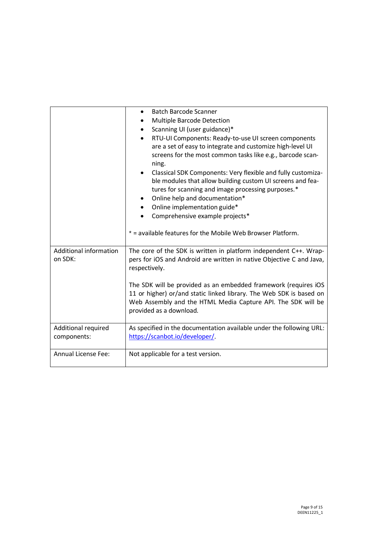|                                    | <b>Batch Barcode Scanner</b><br>$\bullet$<br>Multiple Barcode Detection<br>Scanning UI (user guidance)*<br>RTU-UI Components: Ready-to-use UI screen components<br>are a set of easy to integrate and customize high-level UI<br>screens for the most common tasks like e.g., barcode scan-<br>ning.<br>Classical SDK Components: Very flexible and fully customiza-<br>ble modules that allow building custom UI screens and fea-<br>tures for scanning and image processing purposes.*<br>Online help and documentation*<br>$\bullet$<br>Online implementation guide*<br>Comprehensive example projects*<br>* = available features for the Mobile Web Browser Platform. |
|------------------------------------|---------------------------------------------------------------------------------------------------------------------------------------------------------------------------------------------------------------------------------------------------------------------------------------------------------------------------------------------------------------------------------------------------------------------------------------------------------------------------------------------------------------------------------------------------------------------------------------------------------------------------------------------------------------------------|
| Additional information<br>on SDK:  | The core of the SDK is written in platform independent C++. Wrap-<br>pers for iOS and Android are written in native Objective C and Java,<br>respectively.<br>The SDK will be provided as an embedded framework (requires iOS<br>11 or higher) or/and static linked library. The Web SDK is based on<br>Web Assembly and the HTML Media Capture API. The SDK will be<br>provided as a download.                                                                                                                                                                                                                                                                           |
| Additional required<br>components: | As specified in the documentation available under the following URL:<br>https://scanbot.io/developer/.                                                                                                                                                                                                                                                                                                                                                                                                                                                                                                                                                                    |
| <b>Annual License Fee:</b>         | Not applicable for a test version.                                                                                                                                                                                                                                                                                                                                                                                                                                                                                                                                                                                                                                        |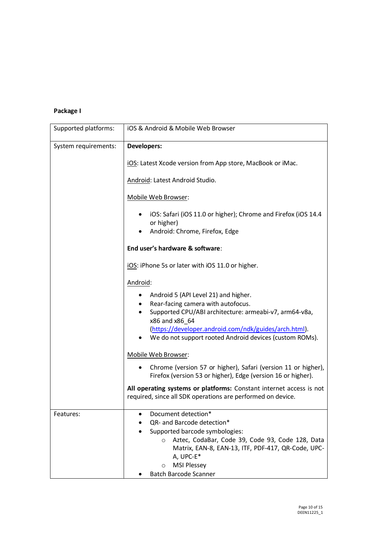# **Package I**

| Supported platforms: | iOS & Android & Mobile Web Browser                                                                                                                                                                                                                                                                                |
|----------------------|-------------------------------------------------------------------------------------------------------------------------------------------------------------------------------------------------------------------------------------------------------------------------------------------------------------------|
| System requirements: | <b>Developers:</b>                                                                                                                                                                                                                                                                                                |
|                      | iOS: Latest Xcode version from App store, MacBook or iMac.                                                                                                                                                                                                                                                        |
|                      | Android: Latest Android Studio.                                                                                                                                                                                                                                                                                   |
|                      | Mobile Web Browser:                                                                                                                                                                                                                                                                                               |
|                      | iOS: Safari (iOS 11.0 or higher); Chrome and Firefox (iOS 14.4<br>or higher)<br>Android: Chrome, Firefox, Edge                                                                                                                                                                                                    |
|                      | End user's hardware & software:                                                                                                                                                                                                                                                                                   |
|                      | iOS: iPhone 5s or later with iOS 11.0 or higher.                                                                                                                                                                                                                                                                  |
|                      | Android:                                                                                                                                                                                                                                                                                                          |
|                      | Android 5 (API Level 21) and higher.<br>$\bullet$<br>Rear-facing camera with autofocus.<br>Supported CPU/ABI architecture: armeabi-v7, arm64-v8a,<br>$\bullet$<br>x86 and x86 64<br>(https://developer.android.com/ndk/guides/arch.html).<br>We do not support rooted Android devices (custom ROMs).<br>$\bullet$ |
|                      | Mobile Web Browser:                                                                                                                                                                                                                                                                                               |
|                      | Chrome (version 57 or higher), Safari (version 11 or higher),<br>Firefox (version 53 or higher), Edge (version 16 or higher).                                                                                                                                                                                     |
|                      | All operating systems or platforms: Constant internet access is not<br>required, since all SDK operations are performed on device.                                                                                                                                                                                |
| Features:            | Document detection*<br>QR- and Barcode detection*<br>Supported barcode symbologies:<br>Aztec, CodaBar, Code 39, Code 93, Code 128, Data<br>$\circ$<br>Matrix, EAN-8, EAN-13, ITF, PDF-417, QR-Code, UPC-<br>A, UPC-E*<br><b>MSI Plessey</b><br>$\circ$                                                            |
|                      | <b>Batch Barcode Scanner</b>                                                                                                                                                                                                                                                                                      |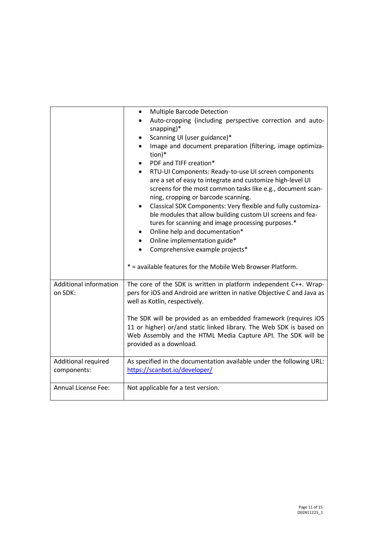|                                   | Multiple Barcode Detection<br>$\bullet$<br>Auto-cropping (including perspective correction and auto-                                                                                                                              |
|-----------------------------------|-----------------------------------------------------------------------------------------------------------------------------------------------------------------------------------------------------------------------------------|
|                                   | snapping)*                                                                                                                                                                                                                        |
|                                   | Scanning UI (user guidance)*                                                                                                                                                                                                      |
|                                   | Image and document preparation (filtering, image optimiza-                                                                                                                                                                        |
|                                   | tion)*                                                                                                                                                                                                                            |
|                                   | PDF and TIFF creation*                                                                                                                                                                                                            |
|                                   | RTU-UI Components: Ready-to-use UI screen components<br>$\bullet$                                                                                                                                                                 |
|                                   | are a set of easy to integrate and customize high-level UI<br>screens for the most common tasks like e.g., document scan-                                                                                                         |
|                                   | ning, cropping or barcode scanning.                                                                                                                                                                                               |
|                                   | Classical SDK Components: Very flexible and fully customiza-<br>$\bullet$                                                                                                                                                         |
|                                   | ble modules that allow building custom UI screens and fea-                                                                                                                                                                        |
|                                   | tures for scanning and image processing purposes.*                                                                                                                                                                                |
|                                   | Online help and documentation*<br>٠                                                                                                                                                                                               |
|                                   | Online implementation guide*<br>$\bullet$                                                                                                                                                                                         |
|                                   | Comprehensive example projects*<br>$\bullet$                                                                                                                                                                                      |
|                                   |                                                                                                                                                                                                                                   |
|                                   | * = available features for the Mobile Web Browser Platform.                                                                                                                                                                       |
| Additional information<br>on SDK: | The core of the SDK is written in platform independent C++. Wrap-<br>pers for iOS and Android are written in native Objective C and Java as<br>well as Kotlin, respectively.                                                      |
|                                   |                                                                                                                                                                                                                                   |
|                                   | The SDK will be provided as an embedded framework (requires iOS<br>11 or higher) or/and static linked library. The Web SDK is based on<br>Web Assembly and the HTML Media Capture API. The SDK will be<br>provided as a download. |
| Additional required               | As specified in the documentation available under the following URL:                                                                                                                                                              |
| components:                       | https://scanbot.io/developer/                                                                                                                                                                                                     |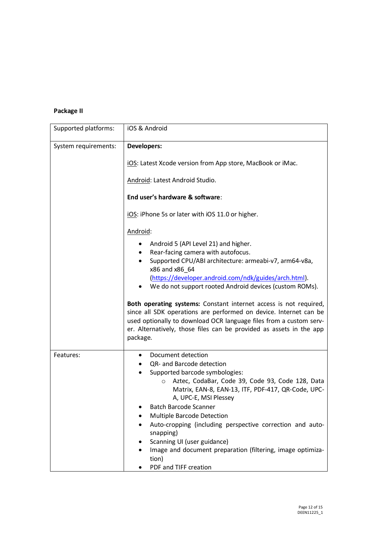# **Package II**

| Supported platforms: | iOS & Android                                                                                                                                                                                                                                                                                   |
|----------------------|-------------------------------------------------------------------------------------------------------------------------------------------------------------------------------------------------------------------------------------------------------------------------------------------------|
| System requirements: | <b>Developers:</b>                                                                                                                                                                                                                                                                              |
|                      | iOS: Latest Xcode version from App store, MacBook or iMac.                                                                                                                                                                                                                                      |
|                      | Android: Latest Android Studio.                                                                                                                                                                                                                                                                 |
|                      | End user's hardware & software:                                                                                                                                                                                                                                                                 |
|                      | iOS: iPhone 5s or later with iOS 11.0 or higher.                                                                                                                                                                                                                                                |
|                      | Android:                                                                                                                                                                                                                                                                                        |
|                      | Android 5 (API Level 21) and higher.<br>٠                                                                                                                                                                                                                                                       |
|                      | Rear-facing camera with autofocus.<br>$\bullet$                                                                                                                                                                                                                                                 |
|                      | Supported CPU/ABI architecture: armeabi-v7, arm64-v8a,<br>$\bullet$                                                                                                                                                                                                                             |
|                      | x86 and x86_64                                                                                                                                                                                                                                                                                  |
|                      | (https://developer.android.com/ndk/guides/arch.html).<br>We do not support rooted Android devices (custom ROMs).                                                                                                                                                                                |
|                      | Both operating systems: Constant internet access is not required,<br>since all SDK operations are performed on device. Internet can be<br>used optionally to download OCR language files from a custom serv-<br>er. Alternatively, those files can be provided as assets in the app<br>package. |
| Features:            | Document detection                                                                                                                                                                                                                                                                              |
|                      | QR- and Barcode detection                                                                                                                                                                                                                                                                       |
|                      | Supported barcode symbologies:                                                                                                                                                                                                                                                                  |
|                      | Aztec, CodaBar, Code 39, Code 93, Code 128, Data<br>$\circ$<br>Matrix, EAN-8, EAN-13, ITF, PDF-417, QR-Code, UPC-                                                                                                                                                                               |
|                      | A, UPC-E, MSI Plessey                                                                                                                                                                                                                                                                           |
|                      | Batch Barcode Scanner                                                                                                                                                                                                                                                                           |
|                      | Multiple Barcode Detection                                                                                                                                                                                                                                                                      |
|                      | Auto-cropping (including perspective correction and auto-<br>snapping)                                                                                                                                                                                                                          |
|                      | Scanning UI (user guidance)                                                                                                                                                                                                                                                                     |
|                      | Image and document preparation (filtering, image optimiza-<br>tion)                                                                                                                                                                                                                             |
|                      | PDF and TIFF creation                                                                                                                                                                                                                                                                           |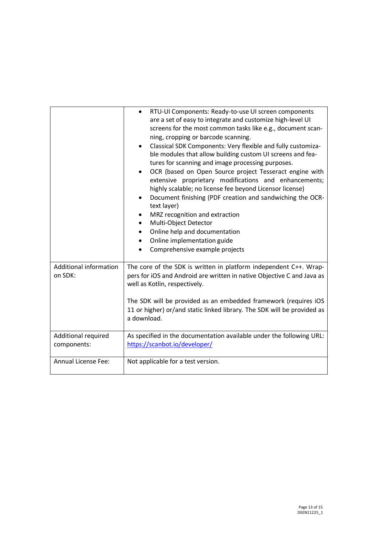| <b>Additional information</b><br>on SDK: | RTU-UI Components: Ready-to-use UI screen components<br>$\bullet$<br>are a set of easy to integrate and customize high-level UI<br>screens for the most common tasks like e.g., document scan-<br>ning, cropping or barcode scanning.<br>Classical SDK Components: Very flexible and fully customiza-<br>ble modules that allow building custom UI screens and fea-<br>tures for scanning and image processing purposes.<br>OCR (based on Open Source project Tesseract engine with<br>extensive proprietary modifications and enhancements;<br>highly scalable; no license fee beyond Licensor license)<br>Document finishing (PDF creation and sandwiching the OCR-<br>text layer)<br>MRZ recognition and extraction<br>Multi-Object Detector<br>$\bullet$<br>Online help and documentation<br>Online implementation guide<br>$\bullet$<br>Comprehensive example projects<br>The core of the SDK is written in platform independent C++. Wrap-<br>pers for iOS and Android are written in native Objective C and Java as<br>well as Kotlin, respectively.<br>The SDK will be provided as an embedded framework (requires iOS<br>11 or higher) or/and static linked library. The SDK will be provided as<br>a download. |
|------------------------------------------|--------------------------------------------------------------------------------------------------------------------------------------------------------------------------------------------------------------------------------------------------------------------------------------------------------------------------------------------------------------------------------------------------------------------------------------------------------------------------------------------------------------------------------------------------------------------------------------------------------------------------------------------------------------------------------------------------------------------------------------------------------------------------------------------------------------------------------------------------------------------------------------------------------------------------------------------------------------------------------------------------------------------------------------------------------------------------------------------------------------------------------------------------------------------------------------------------------------------------|
| Additional required                      | As specified in the documentation available under the following URL:                                                                                                                                                                                                                                                                                                                                                                                                                                                                                                                                                                                                                                                                                                                                                                                                                                                                                                                                                                                                                                                                                                                                                     |
| components:                              | https://scanbot.io/developer/                                                                                                                                                                                                                                                                                                                                                                                                                                                                                                                                                                                                                                                                                                                                                                                                                                                                                                                                                                                                                                                                                                                                                                                            |
| Annual License Fee:                      | Not applicable for a test version.                                                                                                                                                                                                                                                                                                                                                                                                                                                                                                                                                                                                                                                                                                                                                                                                                                                                                                                                                                                                                                                                                                                                                                                       |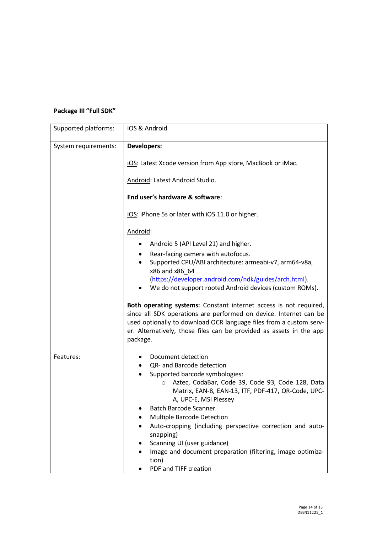# **Package III "Full SDK"**

| Supported platforms: | iOS & Android                                                                                                                                                                                                                                                                                   |
|----------------------|-------------------------------------------------------------------------------------------------------------------------------------------------------------------------------------------------------------------------------------------------------------------------------------------------|
| System requirements: | <b>Developers:</b>                                                                                                                                                                                                                                                                              |
|                      | iOS: Latest Xcode version from App store, MacBook or iMac.                                                                                                                                                                                                                                      |
|                      | Android: Latest Android Studio.                                                                                                                                                                                                                                                                 |
|                      | End user's hardware & software:                                                                                                                                                                                                                                                                 |
|                      | iOS: iPhone 5s or later with iOS 11.0 or higher.                                                                                                                                                                                                                                                |
|                      | Android:                                                                                                                                                                                                                                                                                        |
|                      | Android 5 (API Level 21) and higher.<br>٠                                                                                                                                                                                                                                                       |
|                      | Rear-facing camera with autofocus.                                                                                                                                                                                                                                                              |
|                      | Supported CPU/ABI architecture: armeabi-v7, arm64-v8a,<br>x86 and x86 64                                                                                                                                                                                                                        |
|                      | (https://developer.android.com/ndk/guides/arch.html).                                                                                                                                                                                                                                           |
|                      | We do not support rooted Android devices (custom ROMs).                                                                                                                                                                                                                                         |
|                      | Both operating systems: Constant internet access is not required,<br>since all SDK operations are performed on device. Internet can be<br>used optionally to download OCR language files from a custom serv-<br>er. Alternatively, those files can be provided as assets in the app<br>package. |
| Features:            | Document detection<br>٠                                                                                                                                                                                                                                                                         |
|                      | QR- and Barcode detection                                                                                                                                                                                                                                                                       |
|                      | Supported barcode symbologies:                                                                                                                                                                                                                                                                  |
|                      | Aztec, CodaBar, Code 39, Code 93, Code 128, Data<br>$\circ$<br>Matrix, EAN-8, EAN-13, ITF, PDF-417, QR-Code, UPC-                                                                                                                                                                               |
|                      | A, UPC-E, MSI Plessey                                                                                                                                                                                                                                                                           |
|                      | Batch Barcode Scanner                                                                                                                                                                                                                                                                           |
|                      | Multiple Barcode Detection                                                                                                                                                                                                                                                                      |
|                      | Auto-cropping (including perspective correction and auto-                                                                                                                                                                                                                                       |
|                      | snapping)<br>Scanning UI (user guidance)                                                                                                                                                                                                                                                        |
|                      | Image and document preparation (filtering, image optimiza-<br>tion)                                                                                                                                                                                                                             |
|                      | PDF and TIFF creation                                                                                                                                                                                                                                                                           |